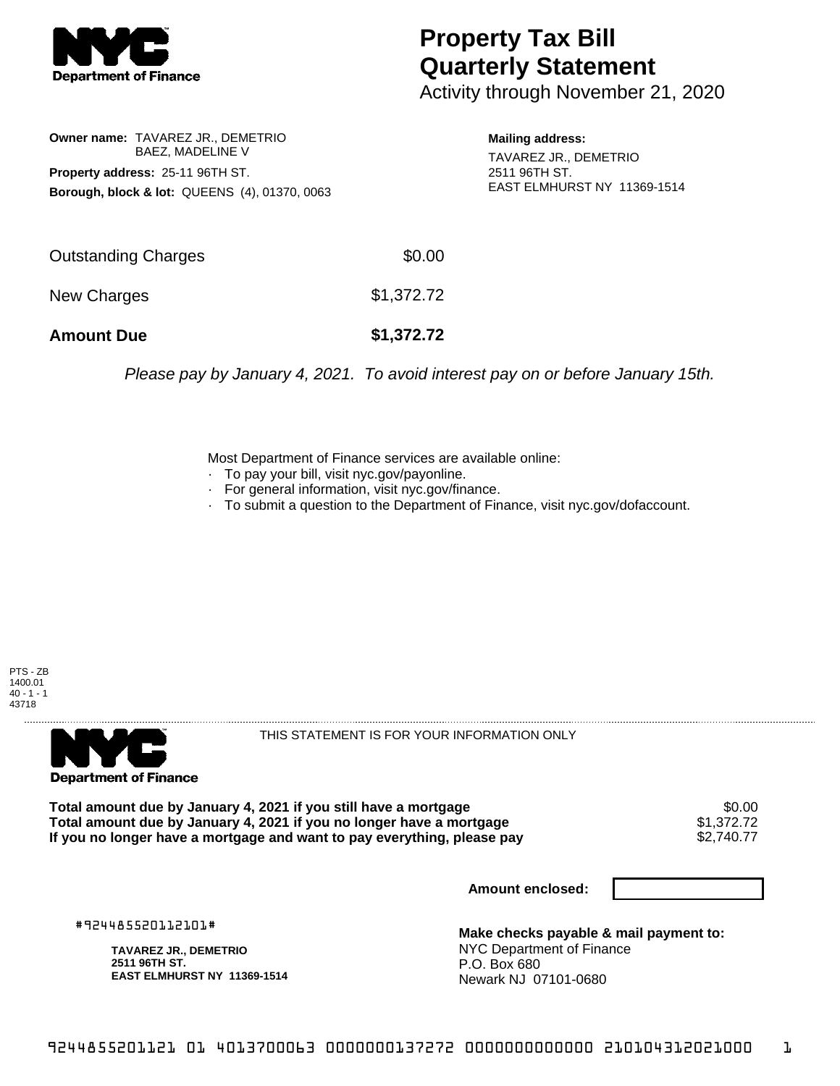

## **Property Tax Bill Quarterly Statement**

Activity through November 21, 2020

**Owner name:** TAVAREZ JR., DEMETRIO BAEZ, MADELINE V **Property address:** 25-11 96TH ST. **Borough, block & lot:** QUEENS (4), 01370, 0063

**Mailing address:** TAVAREZ JR., DEMETRIO 2511 96TH ST. EAST ELMHURST NY 11369-1514

| <b>Amount Due</b>   | \$1,372.72 |
|---------------------|------------|
| New Charges         | \$1,372.72 |
| Outstanding Charges | \$0.00     |

Please pay by January 4, 2021. To avoid interest pay on or before January 15th.

Most Department of Finance services are available online:

- · To pay your bill, visit nyc.gov/payonline.
- For general information, visit nyc.gov/finance.
- · To submit a question to the Department of Finance, visit nyc.gov/dofaccount.





THIS STATEMENT IS FOR YOUR INFORMATION ONLY

Total amount due by January 4, 2021 if you still have a mortgage **\$0.00** \$0.00<br>Total amount due by January 4, 2021 if you no longer have a mortgage **\$1.372.72 Total amount due by January 4, 2021 if you no longer have a mortgage**  $$1,372.72$$ **<br>If you no longer have a mortgage and want to pay everything, please pay**  $$2,740.77$$ If you no longer have a mortgage and want to pay everything, please pay

**Amount enclosed:**

#924485520112101#

**TAVAREZ JR., DEMETRIO 2511 96TH ST. EAST ELMHURST NY 11369-1514**

**Make checks payable & mail payment to:** NYC Department of Finance P.O. Box 680 Newark NJ 07101-0680